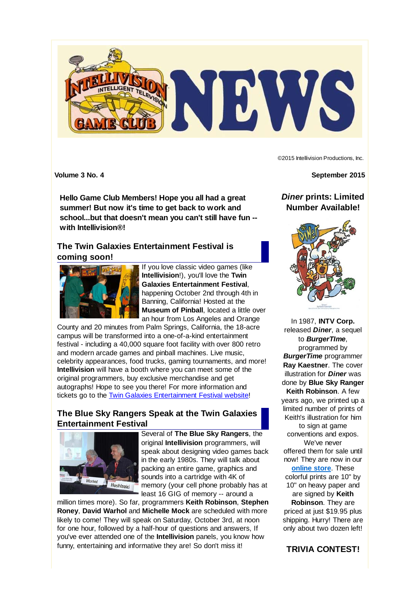

©2015 Intellivision Productions, Inc.

**Hello Game Club Members! Hope you all had a great summer! But now it's time to get back to work and school...but that doesn't mean you can't still have fun - with Intellivision®!**

# **The Twin Galaxies Entertainment Festival is coming soon!**



If you love classic video games (like **Intellivision**!), you'll love the **Twin Galaxies Entertainment Festival**, happening October 2nd through 4th in Banning, California! Hosted at the **Museum of Pinball**, located a little over an hour from Los Angeles and Orange

County and 20 minutes from Palm Springs, California, the 18-acre campus will be transformed into a one-of-a-kind entertainment festival - including a 40,000 square foot facility with over 800 retro and modern arcade games and pinball machines. Live music, celebrity appearances, food trucks, gaming tournaments, and more! **Intellivision** will have a booth where you can meet some of the original programmers, buy exclusive merchandise and get autographs! Hope to see you there! For more information and tickets go to the Twin Galaxies Entertainment Festival website!

# **The Blue Sky Rangers Speak at the Twin Galaxies Entertainment Festival**



Several of **The Blue Sky Rangers**, the original **Intellivision** programmers, will speak about designing video games back in the early 1980s. They will talk about packing an entire game, graphics and sounds into a cartridge with 4K of memory (your cell phone probably has at least 16 GIG of memory -- around a

million times more). So far, programmers **Keith Robinson**, **Stephen Roney**, **David Warhol** and **Michelle Mock** are scheduled with more likely to come! They will speak on Saturday, October 3rd, at noon for one hour, followed by a half-hour of questions and answers, If you've ever attended one of the **Intellivision** panels, you know how funny, entertaining and informative they are! So don't miss it!

**Volume 3 No. 4 September 2015**

*Diner* **prints: Limited Number Available!**



In 1987, **INTV Corp.** released *Diner*, a sequel to *BurgerTIme*, programmed by *BurgerTime* programmer **Ray Kaestner**. The cover illustration for *Diner* was done by **Blue Sky Ranger Keith Robinson**. A few years ago, we printed up a limited number of prints of Keith's illustration for him to sign at game conventions and expos. We've never offered them for sale until now! They are now in our **online store**. These colorful prints are 10" by 10" on heavy paper and are signed by **Keith Robinson**. They are priced at just \$19.95 plus shipping. Hurry! There are only about two dozen left!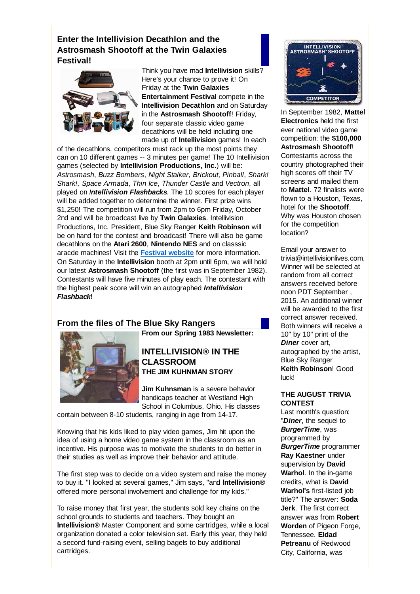# **Enter the Intellivision Decathlon and the Astrosmash Shootoff at the Twin Galaxies Festival!**



Think you have mad **Intellivision** skills? Here's your chance to prove it! On Friday at the **Twin Galaxies Entertainment Festival** compete in the **Intellivision Decathlon** and on Saturday in the **Astrosmash Shootoff**! Friday, four separate classic video game decathlons will be held including one made up of **Intellivision** games! In each

of the decathlons, competitors must rack up the most points they can on 10 different games -- 3 minutes per game! The 10 Intellivision games (selected by **Intellivision Productions, Inc.**) will be: *Astrosmash*, *Buzz Bombers*, *Night Stalker*, *Brickout*, *Pinball*, *Shark! Shark!, Space Armada*, *Thin Ice*, *Thunder Castle* and *Vectron*, all played on *Intellivision Flashbacks*. The 10 scores for each player will be added together to determine the winner. First prize wins \$1,250! The competition will run from 2pm to 6pm Friday, October 2nd and will be broadcast live by **Twin Galaxies**. Intellivision Productions, Inc. President, Blue Sky Ranger **Keith Robinson** will be on hand for the contest and broadcast! There will also be game decathlons on the **Atari 2600**, **Nintendo NES** and on classsic aracde machines! Visit the **Festival website** for more information. On Saturday in the **Intellivision** booth at 2pm until 6pm, we will hold our latest **Astrosmash Shootoff** (the first was in September 1982). Contestants will have five minutes of play each. The contestant with the highest peak score will win an autographed *Intellivision Flashback*!

## **From the files of The Blue Sky Rangers**



**From our Spring 1983 Newsletter:**

### **INTELLIVISION® IN THE CLASSROOM THE JIM KUHNMAN STORY**

**Jim Kuhnsman** is a severe behavior handicaps teacher at Westland High School in Columbus, Ohio. His classes

contain between 8-10 students, ranging in age from 14-17.

Knowing that his kids liked to play video games, Jim hit upon the idea of using a home video game system in the classroom as an incentive. His purpose was to motivate the students to do better in their studies as well as improve their behavior and attitude.

The first step was to decide on a video system and raise the money to buy it. "I looked at several games," Jim says, "and **lntellivision®** offered more personal involvement and challenge for my kids."

To raise money that first year, the students sold key chains on the school grounds to students and teachers. They bought an **lntellivision®** Master Component and some cartridges, while a local organization donated a color television set. Early this year, they held a second fund-raising event, selling bagels to buy additional cartridges.



In September 1982, **Mattel Electronics** held the first ever national video game competition: the **\$100,000 Astrosmash Shootoff**! Contestants across the country photographed their high scores off their TV screens and mailed them to **Mattel**. 72 finalists were flown to a Houston, Texas hotel for the **Shootoff**. Why was Houston chosen for the competition location?

Email your answer to trivia@intellivisionlives.com. Winner will be selected at random from all correct answers received before noon PDT September , 2015. An additional winner will be awarded to the first correct answer received. Both winners will receive a 10" by 10" print of the *Diner* cover art, autographed by the artist, Blue Sky Ranger **Keith Robinson**! Good luck!

#### **THE AUGUST TRIVIA CONTEST**

Last month's question: "*Diner*, the sequel to *BurgerTime*, was programmed by *BurgerTime* programmer **Ray Kaestner** under supervision by **David Warhol**. In the in-game credits, what is **David Warhol's** first-listed job title?" The answer: **Soda Jerk**. The first correct answer was from **Robert Worden** of Pigeon Forge, Tennessee. **Eldad Petreanu** of Redwood City, California, was